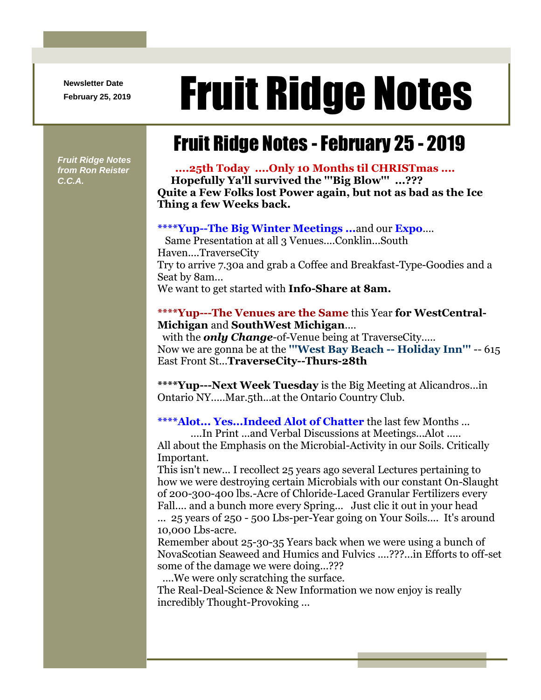**Newsletter Date**

# **Rewsletter Date**<br>February 25, 2019 **Fruit Ridge Notes**

## Fruit Ridge Notes -February 25 - 2019

*Fruit Ridge Notes from Ron Reister C.C.A.*

**....25th Today ....Only 10 Months til CHRISTmas .... Hopefully Ya'll survived the '''Big Blow''' ...??? Quite a Few Folks lost Power again, but not as bad as the Ice Thing a few Weeks back.**

#### **\*\*\*\*Yup--The Big Winter Meetings ...**and our **Expo**....

Same Presentation at all 3 Venues....Conklin...South Haven....TraverseCity Try to arrive 7.30a and grab a Coffee and Breakfast-Type-Goodies and a Seat by 8am... We want to get started with **Info-Share at 8am.**

#### **\*\*\*\*Yup---The Venues are the Same** this Year **for WestCentral-Michigan** and **SouthWest Michigan**....

with the *only Change*-of-Venue being at TraverseCity..... Now we are gonna be at the **'''West Bay Beach -- Holiday Inn'''** -- 615 East Front St...**TraverseCity--Thurs-28th**

**\*\*\*\*Yup---Next Week Tuesday** is the Big Meeting at Alicandros...in Ontario NY.....Mar.5th...at the Ontario Country Club.

**\*\*\*\*Alot... Yes...Indeed Alot of Chatter** the last few Months ...

....In Print ...and Verbal Discussions at Meetings...Alot .....

All about the Emphasis on the Microbial-Activity in our Soils. Critically Important.

This isn't new... I recollect 25 years ago several Lectures pertaining to how we were destroying certain Microbials with our constant On-Slaught of 200-300-400 lbs.-Acre of Chloride-Laced Granular Fertilizers every Fall.... and a bunch more every Spring... Just clic it out in your head ... 25 years of 250 - 500 Lbs-per-Year going on Your Soils.... It's around 10,000 Lbs-acre.

Remember about 25-30-35 Years back when we were using a bunch of NovaScotian Seaweed and Humics and Fulvics ....???...in Efforts to off-set some of the damage we were doing...???

....We were only scratching the surface.

The Real-Deal-Science & New Information we now enjoy is really incredibly Thought-Provoking ...